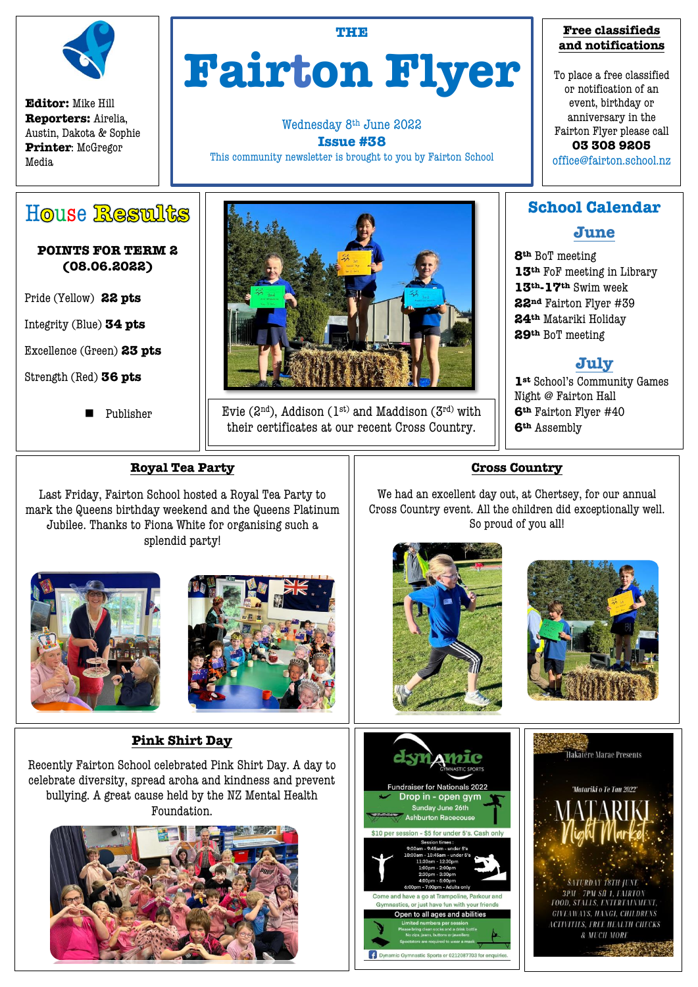

**Editor:** Mike Hill **Reporters:** Airelia, Austin, Dakota & Sophie **Printer**: McGregor Media

# **THE Fairton Flyer**

Wednesday 8th June 2022 **Issue #38** This community newsletter is brought to you by Fairton School

#### **Free classifieds and notifications**

To place a free classified or notification of an event, birthday or anniversary in the Fairton Flyer please call **03 308 9205** 

office@fairton.school.nz

# House Results

#### **POINTS FOR TERM 2 (08.06.2022)**

Pride (Yellow) **22 pts**

Integrity (Blue) **34 pts** 

Excellence (Green) **23 pts**

Strength (Red) **36 pts** 

 $\overline{a}$ 

Publisher



Evie (2<sup>nd</sup>), Addison (1<sup>st)</sup> and Maddison (3<sup>rd)</sup> with their certificates at our recent Cross Country.

## **School Calendar**

## **June**

**th** BoT meeting **th** FoF meeting in Library **th-17th** Swim week **nd** Fairton Flyer #39 **th** Matariki Holiday **th** BoT meeting

## **July**

**st** School's Community Games Night @ Fairton Hall **th** Fairton Flyer #40 **th** Assembly

#### **Royal Tea Party**

Last Friday, Fairton School hosted a Royal Tea Party to mark the Queens birthday weekend and the Queens Platinum Jubilee. Thanks to Fiona White for organising such a splendid party!





### **Pink Shirt Day**

Recently Fairton School celebrated Pink Shirt Day. A day to celebrate diversity, spread aroha and kindness and prevent bullying. A great cause held by the NZ Mental Health Foundation.



# **Cross Country**

We had an excellent day out, at Chertsey, for our annual Cross Country event. All the children did exceptionally well. So proud of you all!







stic Sports or 0212087703 for enqui

Dynamic Gy